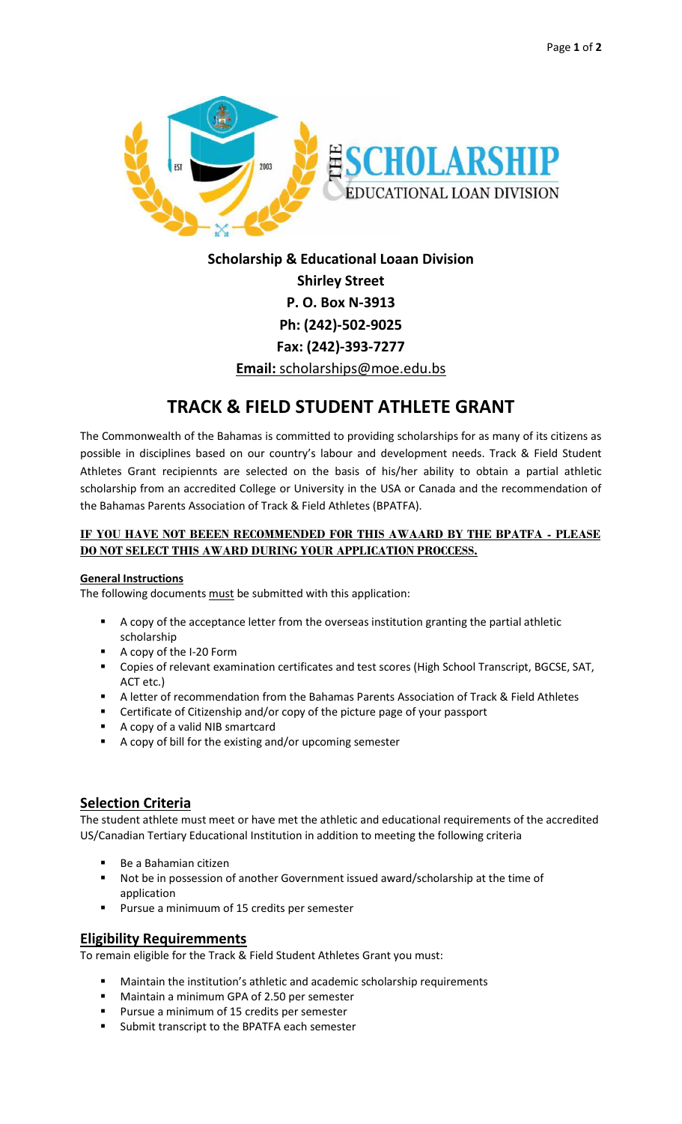

**Scholarship & Educational Loaan Division Shirley Street P. O. Box N-3913 Ph: (242)-502-9025 Fax: (242)-393-7277 Email:** scholarships@moe.edu.bs

# **TRACK & FIELD STUDENT ATHLETE GRANT**

The Commonwealth of the Bahamas is committed to providing scholarships for as many of its citizens as possible in disciplines based on our country's labour and development needs. Track & Field Student Athletes Grant recipiennts are selected on the basis of his/her ability to obtain a partial athletic scholarship from an accredited College or University in the USA or Canada and the recommendation of the Bahamas Parents Association of Track & Field Athletes (BPATFA).

## **IF YOU HAVE NOT BEEEN RECOMMENDED FOR THIS AWAARD BY THE BPATFA - PLEASE DO NOT SELECT THIS AWARD DURING YOUR APPLICATION PROCCESS.**

#### **General Instructions**

The following documents must be submitted with this application:

- A copy of the acceptance letter from the overseas institution granting the partial athletic scholarship
- A copy of the I-20 Form
- Copies of relevant examination certificates and test scores (High School Transcript, BGCSE, SAT, ACT etc.)
- A letter of recommendation from the Bahamas Parents Association of Track & Field Athletes
- Certificate of Citizenship and/or copy of the picture page of your passport
- A copy of a valid NIB smartcard
- A copy of bill for the existing and/or upcoming semester

## **Selection Criteria**

The student athlete must meet or have met the athletic and educational requirements of the accredited US/Canadian Tertiary Educational Institution in addition to meeting the following criteria

- Be a Bahamian citizen
- Not be in possession of another Government issued award/scholarship at the time of application
- Pursue a minimuum of 15 credits per semester

## **Eligibility Requiremments**

To remain eligible for the Track & Field Student Athletes Grant you must:

- Maintain the institution's athletic and academic scholarship requirements
- Maintain a minimum GPA of 2.50 per semester
- Pursue a minimum of 15 credits per semester
- Submit transcript to the BPATFA each semester